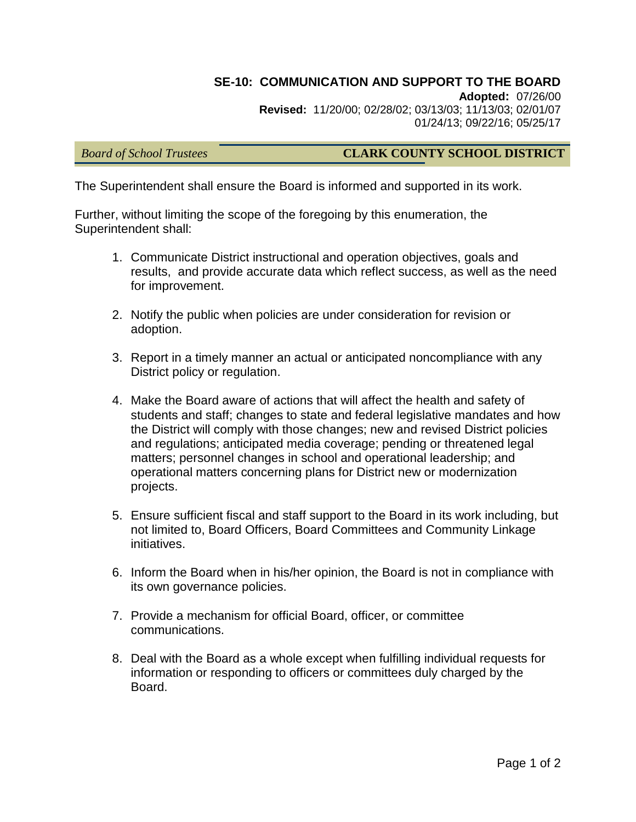# **SE-10: COMMUNICATION AND SUPPORT TO THE BOARD**

**Adopted:** 07/26/00 **Revised:** 11/20/00; 02/28/02; 03/13/03; 11/13/03; 02/01/07 01/24/13; 09/22/16; 05/25/17

### *Board of School Trustees* **CLARK COUNTY SCHOOL DISTRICT**

The Superintendent shall ensure the Board is informed and supported in its work.

Further, without limiting the scope of the foregoing by this enumeration, the Superintendent shall:

- 1. Communicate District instructional and operation objectives, goals and results, and provide accurate data which reflect success, as well as the need for improvement.
- 2. Notify the public when policies are under consideration for revision or adoption.
- 3. Report in a timely manner an actual or anticipated noncompliance with any District policy or regulation.
- 4. Make the Board aware of actions that will affect the health and safety of students and staff; changes to state and federal legislative mandates and how the District will comply with those changes; new and revised District policies and regulations; anticipated media coverage; pending or threatened legal matters; personnel changes in school and operational leadership; and operational matters concerning plans for District new or modernization projects.
- 5. Ensure sufficient fiscal and staff support to the Board in its work including, but not limited to, Board Officers, Board Committees and Community Linkage initiatives.
- 6. Inform the Board when in his/her opinion, the Board is not in compliance with its own governance policies.
- 7. Provide a mechanism for official Board, officer, or committee communications.
- 8. Deal with the Board as a whole except when fulfilling individual requests for information or responding to officers or committees duly charged by the Board.